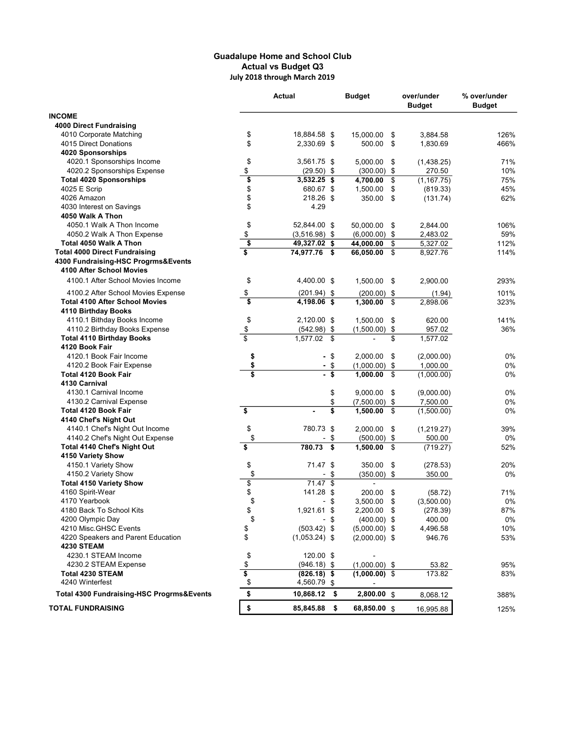## Guadalupe Home and School Club Actual vs Budget Q3 July 2018 through March 2019

|                                           |                                      | Actual            | <b>Budget</b>    | over/under<br><b>Budget</b> | % over/under<br><b>Budget</b> |
|-------------------------------------------|--------------------------------------|-------------------|------------------|-----------------------------|-------------------------------|
| <b>INCOME</b>                             |                                      |                   |                  |                             |                               |
| 4000 Direct Fundraising                   |                                      |                   |                  |                             |                               |
| 4010 Corporate Matching                   | \$                                   | 18,884.58 \$      | 15,000.00<br>\$  | 3,884.58                    | 126%                          |
| 4015 Direct Donations                     | \$                                   | 2,330.69 \$       | 500.00<br>\$     | 1.830.69                    | 466%                          |
| 4020 Sponsorships                         |                                      |                   |                  |                             |                               |
| 4020.1 Sponsorships Income                | \$                                   | 3,561.75 \$       | 5,000.00<br>\$   | (1,438.25)                  | 71%                           |
| 4020.2 Sponsorships Expense               | \$                                   | $(29.50)$ \$      | $(300.00)$ \$    | 270.50                      | 10%                           |
| <b>Total 4020 Sponsorships</b>            | \$                                   | $3,532.25$ \$     | 4,700.00<br>\$   | (1, 167.75)                 | 75%                           |
| 4025 E Scrip                              | \$                                   | 680.67 \$         | 1,500.00<br>\$   | (819.33)                    | 45%                           |
| 4026 Amazon                               | \$                                   | 218.26 \$         | 350.00<br>\$     | (131.74)                    | 62%                           |
| 4030 Interest on Savings                  | \$                                   | 4.29              |                  |                             |                               |
| 4050 Walk A Thon                          |                                      |                   |                  |                             |                               |
| 4050.1 Walk A Thon Income                 | \$                                   | 52,844.00 \$      | 50,000.00<br>\$  | 2,844.00                    | 106%                          |
| 4050.2 Walk A Thon Expense                | \$                                   | $(3,516.98)$ \$   | $(6,000.00)$ \$  | 2,483.02                    | 59%                           |
| Total 4050 Walk A Thon                    | $\overline{\boldsymbol{\mathsf{s}}}$ | 49,327.02 \$      | 44,000.00<br>\$  | 5,327.02                    | 112%                          |
| <b>Total 4000 Direct Fundraising</b>      | \$                                   | 74,977.76<br>\$   | \$<br>66,050.00  | 8,927.76                    | 114%                          |
| 4300 Fundraising-HSC Progrms&Events       |                                      |                   |                  |                             |                               |
| 4100 After School Movies                  |                                      |                   |                  |                             |                               |
| 4100.1 After School Movies Income         | \$                                   | 4,400.00 \$       | 1,500.00<br>\$   | 2,900.00                    | 293%                          |
| 4100.2 After School Movies Expense        | \$                                   | $(201.94)$ \$     | $(200.00)$ \$    | (1.94)                      | 101%                          |
| <b>Total 4100 After School Movies</b>     | \$                                   | 4,198.06 \$       | 1,300.00<br>\$   | 2,898.06                    | 323%                          |
| 4110 Birthday Books                       |                                      |                   |                  |                             |                               |
| 4110.1 Bithday Books Income               | \$                                   | 2,120.00 \$       | 1,500.00<br>\$   | 620.00                      | 141%                          |
| 4110.2 Birthday Books Expense             | $$\mathbb{S}$$                       | $(542.98)$ \$     | (1,500.00)<br>\$ | 957.02                      | 36%                           |
| <b>Total 4110 Birthday Books</b>          | $\overline{\mathbf{s}}$              | 1,577.02<br>\$    | \$               | 1,577.02                    |                               |
| 4120 Book Fair                            |                                      |                   |                  |                             |                               |
| 4120.1 Book Fair Income                   | \$                                   | -\$               | 2,000.00<br>\$   | (2,000.00)                  | 0%                            |
| 4120.2 Book Fair Expense                  | \$                                   | \$                | $(1,000.00)$ \$  | 1,000.00                    | 0%                            |
| <b>Total 4120 Book Fair</b>               | $\overline{\mathbf{s}}$              | \$                | 1,000.00<br>\$   | (1,000.00)                  | 0%                            |
| 4130 Carnival                             |                                      |                   |                  |                             |                               |
| 4130.1 Carnival Income                    |                                      | \$                | 9,000.00<br>\$   | (9,000.00)                  | 0%                            |
| 4130.2 Carnival Expense                   |                                      | \$                | \$<br>(7,500.00) | 7,500.00                    | 0%                            |
| Total 4120 Book Fair                      | \$                                   | \$                | 1,500.00<br>\$   | (1,500.00)                  | 0%                            |
| 4140 Chef's Night Out                     |                                      |                   |                  |                             |                               |
| 4140.1 Chef's Night Out Income            | \$                                   | 780.73 \$         | \$<br>2,000.00   | (1,219.27)                  | 39%                           |
| 4140.2 Chef's Night Out Expense           | \$                                   | \$                | $(500.00)$ \$    | 500.00                      | 0%                            |
| <b>Total 4140 Chef's Night Out</b>        | $\overline{\boldsymbol{\mathsf{s}}}$ | 780.73<br>\$      | 1,500.00<br>\$   | (719.27)                    | 52%                           |
| 4150 Variety Show                         |                                      |                   |                  |                             |                               |
| 4150.1 Variety Show                       | \$                                   | 71.47 \$          | 350.00<br>\$     | (278.53)                    | 20%                           |
| 4150.2 Variety Show                       | \$                                   | \$                | $(350.00)$ \$    | 350.00                      | 0%                            |
| <b>Total 4150 Variety Show</b>            | \$                                   | $71.47$ \$        | $\blacksquare$   |                             |                               |
| 4160 Spirit-Wear                          | \$                                   | 141.28 \$         | 200.00<br>\$     | (58.72)                     | 71%                           |
| 4170 Yearbook                             | \$                                   | \$<br>-           | 3,500.00<br>\$   | (3,500.00)                  | 0%                            |
| 4180 Back To School Kits                  | \$                                   | 1,921.61 \$       | 2,200.00 \$      | (278.39)                    | 87%                           |
| 4200 Olympic Day                          | \$                                   | - \$              | $(400.00)$ \$    | 400.00                      | 0%                            |
| 4210 Misc.GHSC Events                     | \$                                   | $(503.42)$ \$     | $(5,000.00)$ \$  | 4,496.58                    | 10%                           |
| 4220 Speakers and Parent Education        | \$                                   | $(1,053.24)$ \$   | $(2,000.00)$ \$  | 946.76                      | 53%                           |
| <b>4230 STEAM</b>                         |                                      |                   |                  |                             |                               |
| 4230.1 STEAM Income                       | \$                                   | 120.00 \$         |                  |                             |                               |
| 4230.2 STEAM Expense                      | $\frac{1}{2}$                        | $(946.18)$ \$     | $(1,000.00)$ \$  | 53.82                       | 95%                           |
| <b>Total 4230 STEAM</b>                   | \$                                   | $(826.18)$ \$     | $(1,000.00)$ \$  | 173.82                      | 83%                           |
| 4240 Winterfest                           | \$                                   | 4,560.79 \$       |                  |                             |                               |
| Total 4300 Fundraising-HSC Progrms&Events | \$                                   | 10,868.12<br>- \$ | 2,800.00 \$      | 8,068.12                    | 388%                          |
| <b>TOTAL FUNDRAISING</b>                  | \$                                   | 85,845.88<br>- \$ | 68,850.00 \$     | 16,995.88                   | 125%                          |